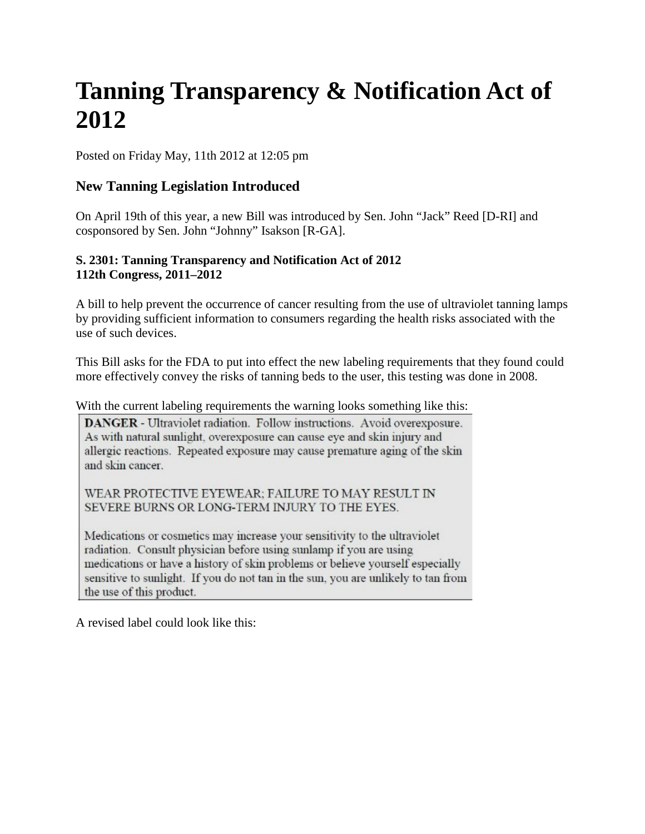# **Tanning Transparency & Notification Act of 2012**

Posted on Friday May, 11th 2012 at 12:05 pm

# **New Tanning Legislation Introduced**

On April 19th of this year, a new Bill was introduced by Sen. John "Jack" Reed [D-RI] and cosponsored by Sen. John "Johnny" Isakson [R-GA].

## **S. 2301: Tanning Transparency and Notification Act of 2012 112th Congress, 2011–2012**

A bill to help prevent the occurrence of cancer resulting from the use of ultraviolet tanning lamps by providing sufficient information to consumers regarding the health risks associated with the use of such devices.

This Bill asks for the FDA to put into effect the new labeling requirements that they found could more effectively convey the risks of tanning beds to the user, this testing was done in 2008.

With the current labeling requirements the warning looks something like this:

DANGER - Ultraviolet radiation. Follow instructions. Avoid overexposure. As with natural sunlight, overexposure can cause eye and skin injury and allergic reactions. Repeated exposure may cause premature aging of the skin and skin cancer.

WEAR PROTECTIVE EYEWEAR; FAILURE TO MAY RESULT IN SEVERE BURNS OR LONG-TERM INJURY TO THE EYES.

Medications or cosmetics may increase your sensitivity to the ultraviolet radiation. Consult physician before using sunlamp if you are using medications or have a history of skin problems or believe yourself especially sensitive to sunlight. If you do not tan in the sun, you are unlikely to tan from the use of this product.

A revised label could look like this: